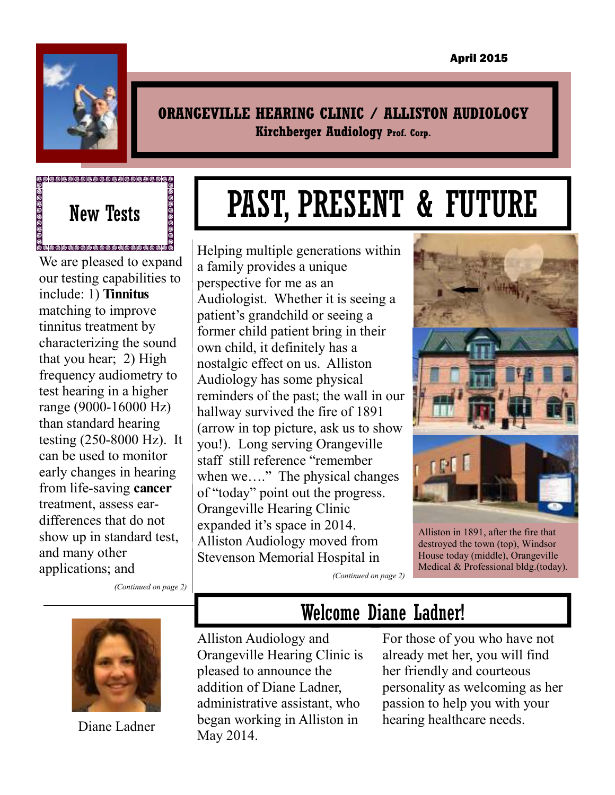

#### **ORANGEVILLE HEARING CLINIC / ALLISTON AUDIOLOGY Kirchberger Audiology Prof. Corp.**

# **Expressed Second Control Control Control Control Control Control Control Control Control Control**

©<br>®®®®®®®®®®®®®®®®®®®®®® We are pleased to expand our testing capabilities to include: 1) **Tinnitus** matching to improve tinnitus treatment by characterizing the sound that you hear; 2) High frequency audiometry to test hearing in a higher range (9000-16000 Hz) than standard hearing testing (250-8000 Hz). It can be used to monitor early changes in hearing from life-saving **cancer**  treatment, assess eardifferences that do not show up in standard test, and many other applications; and

*(Continued on page 2)* 



Diane Ladner

# PAST, PRESENT & FUTURE

Helping multiple generations within a family provides a unique perspective for me as an Audiologist. Whether it is seeing a patient's grandchild or seeing a former child patient bring in their own child, it definitely has a nostalgic effect on us. Alliston Audiology has some physical reminders of the past; the wall in our hallway survived the fire of 1891 (arrow in top picture, ask us to show you!). Long serving Orangeville staff still reference "remember when we…." The physical changes of "today" point out the progress. Orangeville Hearing Clinic expanded it's space in 2014. Alliston Audiology moved from Stevenson Memorial Hospital in



destroyed the town (top), Windsor House today (middle), Orangeville Medical & Professional bldg.(today).

*(Continued on page 2)* 

## Welcome Diane Ladner!

Alliston Audiology and Orangeville Hearing Clinic is pleased to announce the addition of Diane Ladner, administrative assistant, who began working in Alliston in May 2014.

For those of you who have not already met her, you will find her friendly and courteous personality as welcoming as her passion to help you with your hearing healthcare needs.